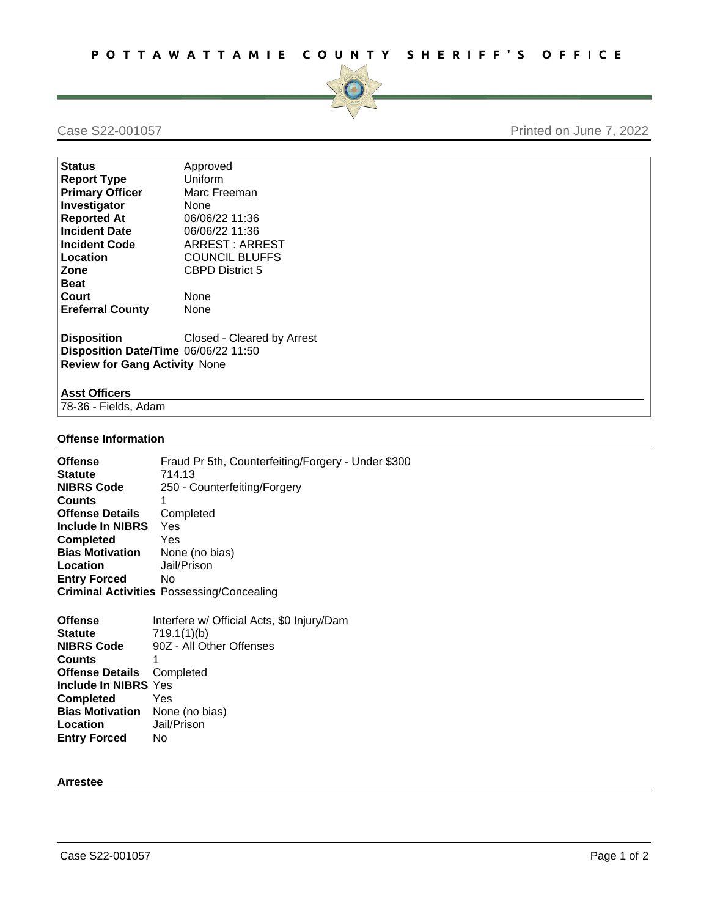

## Case S22-001057 Printed on June 7, 2022

| <b>Status</b>                                                                                                                    | Approved               |
|----------------------------------------------------------------------------------------------------------------------------------|------------------------|
| <b>Report Type</b>                                                                                                               | Uniform                |
| <b>Primary Officer</b>                                                                                                           | Marc Freeman           |
| Investigator                                                                                                                     | None                   |
| <b>Reported At</b>                                                                                                               | 06/06/22 11:36         |
| <b>Incident Date</b>                                                                                                             | 06/06/22 11:36         |
| <b>Incident Code</b>                                                                                                             | ARREST: ARREST         |
| Location                                                                                                                         | <b>COUNCIL BLUFFS</b>  |
| Zone                                                                                                                             | <b>CBPD District 5</b> |
| <b>Beat</b>                                                                                                                      |                        |
| Court                                                                                                                            | None                   |
| <b>Ereferral County</b>                                                                                                          | None                   |
| <b>Disposition</b><br>Closed - Cleared by Arrest<br>Disposition Date/Time 06/06/22 11:50<br><b>Review for Gang Activity None</b> |                        |
| <b>Asst Officers</b>                                                                                                             |                        |
| 78-36 - Fields, Adam                                                                                                             |                        |

#### **Offense Information**

| Fraud Pr 5th, Counterfeiting/Forgery - Under \$300<br>714.13 |
|--------------------------------------------------------------|
| 250 - Counterfeiting/Forgery                                 |
|                                                              |
| Completed                                                    |
| Yes                                                          |
| Yes                                                          |
| None (no bias)                                               |
| Jail/Prison                                                  |
| No.                                                          |
| <b>Criminal Activities Possessing/Concealing</b>             |
|                                                              |

| <b>Offense</b>                        | Interfere w/ Official Acts, \$0 Injury/Dam |
|---------------------------------------|--------------------------------------------|
| <b>Statute</b>                        | 719.1(1)(b)                                |
| <b>NIBRS Code</b>                     | 90Z - All Other Offenses                   |
| <b>Counts</b>                         | 1                                          |
| <b>Offense Details</b> Completed      |                                            |
| Include In NIBRS Yes                  |                                            |
| <b>Completed</b>                      | Yes                                        |
| <b>Bias Motivation</b> None (no bias) |                                            |
| Location                              | Jail/Prison                                |
| <b>Entry Forced</b>                   | No                                         |
|                                       |                                            |

#### **Arrestee**